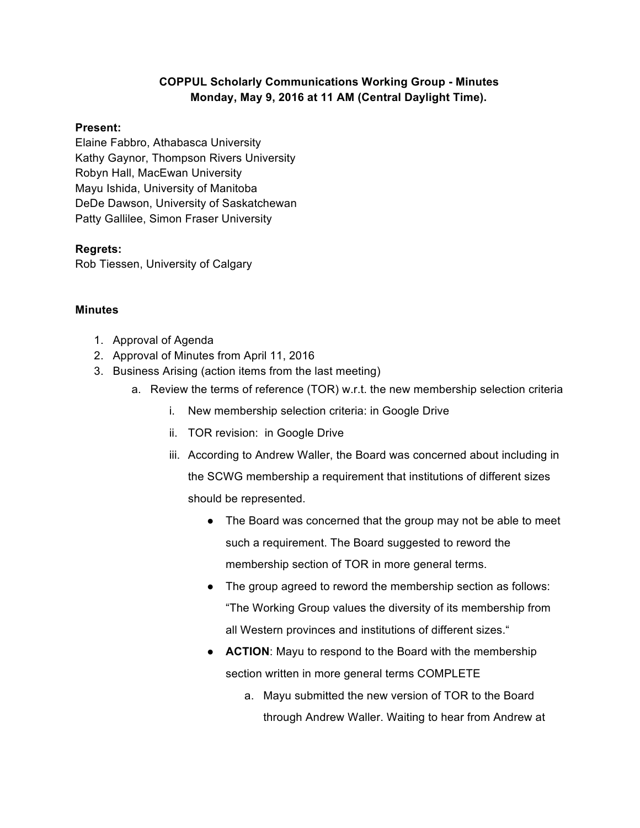## **COPPUL Scholarly Communications Working Group - Minutes Monday, May 9, 2016 at 11 AM (Central Daylight Time).**

## **Present:**

Elaine Fabbro, Athabasca University Kathy Gaynor, Thompson Rivers University Robyn Hall, MacEwan University Mayu Ishida, University of Manitoba DeDe Dawson, University of Saskatchewan Patty Gallilee, Simon Fraser University

## **Regrets:**

Rob Tiessen, University of Calgary

## **Minutes**

- 1. Approval of Agenda
- 2. Approval of Minutes from April 11, 2016
- 3. Business Arising (action items from the last meeting)
	- a. Review the terms of reference (TOR) w.r.t. the new membership selection criteria
		- i. New membership selection criteria: in Google Drive
		- ii. TOR revision: in Google Drive
		- iii. According to Andrew Waller, the Board was concerned about including in the SCWG membership a requirement that institutions of different sizes should be represented.
			- The Board was concerned that the group may not be able to meet such a requirement. The Board suggested to reword the membership section of TOR in more general terms.
			- The group agreed to reword the membership section as follows: "The Working Group values the diversity of its membership from all Western provinces and institutions of different sizes."
			- **ACTION:** Mayu to respond to the Board with the membership section written in more general terms COMPLETE
				- a. Mayu submitted the new version of TOR to the Board through Andrew Waller. Waiting to hear from Andrew at